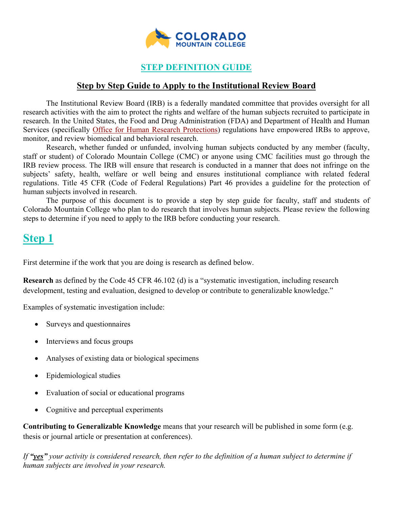

## **STEP DEFINITION GUIDE**

#### **Step by Step Guide to Apply to the Institutional Review Board**

The Institutional Review Board (IRB) is a federally mandated committee that provides oversight for all research activities with the aim to protect the rights and welfare of the human subjects recruited to participate in research. In the United States, the Food and Drug Administration (FDA) and Department of Health and Human Services (specifically [Office for Human Research Protections\)](http://www.hhs.gov/ohrp/) regulations have empowered IRBs to approve, monitor, and review biomedical and behavioral research.

Research, whether funded or unfunded, involving human subjects conducted by any member (faculty, staff or student) of Colorado Mountain College (CMC) or anyone using CMC facilities must go through the IRB review process. The IRB will ensure that research is conducted in a manner that does not infringe on the subjects' safety, health, welfare or well being and ensures institutional compliance with related federal regulations. Title 45 CFR (Code of Federal Regulations) Part 46 provides a guideline for the protection of human subjects involved in research.

The purpose of this document is to provide a step by step guide for faculty, staff and students of Colorado Mountain College who plan to do research that involves human subjects. Please review the following steps to determine if you need to apply to the IRB before conducting your research.

## **Step 1**

First determine if the work that you are doing is research as defined below.

**Research** as defined by the Code 45 CFR 46.102 (d) is a "systematic investigation, including research development, testing and evaluation, designed to develop or contribute to generalizable knowledge."

Examples of systematic investigation include:

- Surveys and questionnaires
- Interviews and focus groups
- Analyses of existing data or biological specimens
- Epidemiological studies
- Evaluation of social or educational programs
- Cognitive and perceptual experiments

**Contributing to Generalizable Knowledge** means that your research will be published in some form (e.g. thesis or journal article or presentation at conferences).

*If "yes" your activity is considered research, then refer to the definition of a human subject to determine if human subjects are involved in your research.*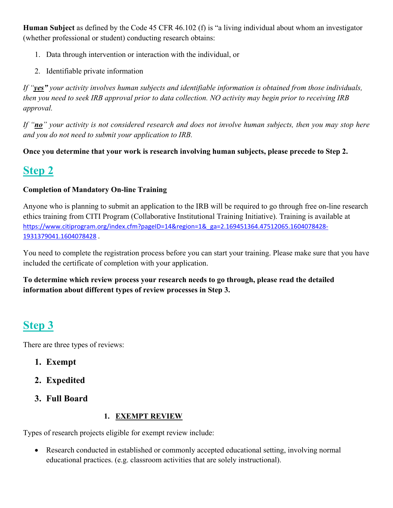**Human Subject** as defined by the Code 45 CFR 46.102 (f) is "a living individual about whom an investigator (whether professional or student) conducting research obtains:

- 1. Data through intervention or interaction with the individual, or
- 2. Identifiable private information

*If "yes" your activity involves human subjects and identifiable information is obtained from those individuals, then you need to seek IRB approval prior to data collection. NO activity may begin prior to receiving IRB approval.* 

*If "no" your activity is not considered research and does not involve human subjects, then you may stop here and you do not need to submit your application to IRB.* 

**Once you determine that your work is research involving human subjects, please precede to Step 2.**

# **Step 2**

## **Completion of Mandatory On-line Training**

Anyone who is planning to submit an application to the IRB will be required to go through free on-line research ethics training from CITI Program (Collaborative Institutional Training Initiative). Training is available at [https://www.citiprogram.org/index.cfm?pageID=14&region=1&\\_ga=2.169451364.47512065.1604078428-](https://nam10.safelinks.protection.outlook.com/?url=https%3A%2F%2Fwww.citiprogram.org%2Findex.cfm%3FpageID%3D14%26region%3D1%26_ga%3D2.169451364.47512065.1604078428-1931379041.1604078428&data=04%7C01%7Cvperos%40coloradomtn.edu%7C1cfb67c17d4844add39c08d87f834583%7Cf439c44861744569b4faffbc80f82e1b%7C1%7C0%7C637399549099111824%7CUnknown%7CTWFpbGZsb3d8eyJWIjoiMC4wLjAwMDAiLCJQIjoiV2luMzIiLCJBTiI6Ik1haWwiLCJXVCI6Mn0%3D%7C1000&sdata=Gn6KTwRHWK62KjzaU9JMyoZ80HYj3xHp0zZyvINvqzo%3D&reserved=0) [1931379041.1604078428](https://nam10.safelinks.protection.outlook.com/?url=https%3A%2F%2Fwww.citiprogram.org%2Findex.cfm%3FpageID%3D14%26region%3D1%26_ga%3D2.169451364.47512065.1604078428-1931379041.1604078428&data=04%7C01%7Cvperos%40coloradomtn.edu%7C1cfb67c17d4844add39c08d87f834583%7Cf439c44861744569b4faffbc80f82e1b%7C1%7C0%7C637399549099111824%7CUnknown%7CTWFpbGZsb3d8eyJWIjoiMC4wLjAwMDAiLCJQIjoiV2luMzIiLCJBTiI6Ik1haWwiLCJXVCI6Mn0%3D%7C1000&sdata=Gn6KTwRHWK62KjzaU9JMyoZ80HYj3xHp0zZyvINvqzo%3D&reserved=0) .

You need to complete the registration process before you can start your training. Please make sure that you have included the certificate of completion with your application.

**To determine which review process your research needs to go through, please read the detailed information about different types of review processes in Step 3.** 

# **Step 3**

There are three types of reviews:

- **1. Exempt**
- **2. Expedited**
- **3. Full Board**

#### **1. EXEMPT REVIEW**

Types of research projects eligible for exempt review include:

• Research conducted in established or commonly accepted educational setting, involving normal educational practices. (e.g. classroom activities that are solely instructional).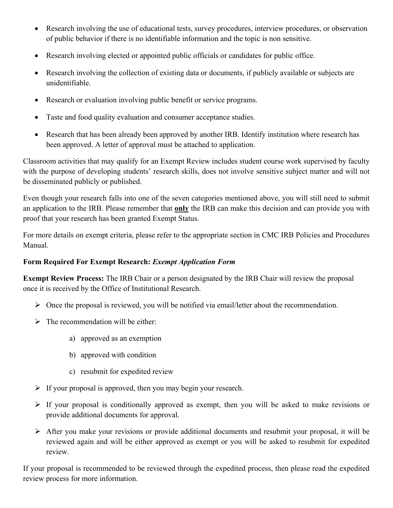- Research involving the use of educational tests, survey procedures, interview procedures, or observation of public behavior if there is no identifiable information and the topic is non sensitive.
- Research involving elected or appointed public officials or candidates for public office.
- Research involving the collection of existing data or documents, if publicly available or subjects are unidentifiable.
- Research or evaluation involving public benefit or service programs.
- Taste and food quality evaluation and consumer acceptance studies.
- Research that has been already been approved by another IRB. Identify institution where research has been approved. A letter of approval must be attached to application.

Classroom activities that may qualify for an Exempt Review includes student course work supervised by faculty with the purpose of developing students' research skills, does not involve sensitive subject matter and will not be disseminated publicly or published.

Even though your research falls into one of the seven categories mentioned above, you will still need to submit an application to the IRB. Please remember that **only** the IRB can make this decision and can provide you with proof that your research has been granted Exempt Status.

For more details on exempt criteria, please refer to the appropriate section in CMC IRB Policies and Procedures Manual.

#### **Form Required For Exempt Research:** *Exempt Application Form*

**Exempt Review Process:** The IRB Chair or a person designated by the IRB Chair will review the proposal once it is received by the Office of Institutional Research.

- $\triangleright$  Once the proposal is reviewed, you will be notified via email/letter about the recommendation.
- $\triangleright$  The recommendation will be either:
	- a) approved as an exemption
	- b) approved with condition
	- c) resubmit for expedited review
- $\triangleright$  If your proposal is approved, then you may begin your research.
- $\triangleright$  If your proposal is conditionally approved as exempt, then you will be asked to make revisions or provide additional documents for approval.
- After you make your revisions or provide additional documents and resubmit your proposal, it will be reviewed again and will be either approved as exempt or you will be asked to resubmit for expedited review.

If your proposal is recommended to be reviewed through the expedited process, then please read the expedited review process for more information.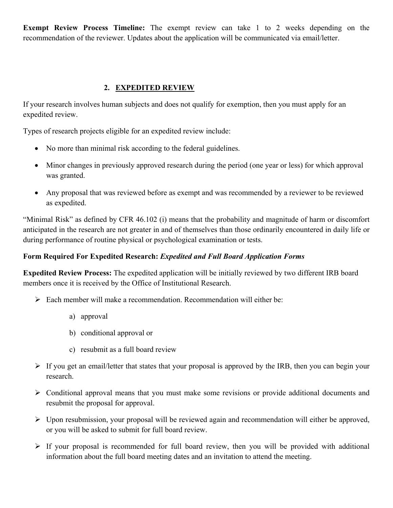**Exempt Review Process Timeline:** The exempt review can take 1 to 2 weeks depending on the recommendation of the reviewer. Updates about the application will be communicated via email/letter.

## **2. EXPEDITED REVIEW**

If your research involves human subjects and does not qualify for exemption, then you must apply for an expedited review.

Types of research projects eligible for an expedited review include:

- No more than minimal risk according to the federal guidelines.
- Minor changes in previously approved research during the period (one year or less) for which approval was granted.
- Any proposal that was reviewed before as exempt and was recommended by a reviewer to be reviewed as expedited.

"Minimal Risk" as defined by CFR 46.102 (i) means that the probability and magnitude of harm or discomfort anticipated in the research are not greater in and of themselves than those ordinarily encountered in daily life or during performance of routine physical or psychological examination or tests.

## **Form Required For Expedited Research:** *Expedited and Full Board Application Forms*

**Expedited Review Process:** The expedited application will be initially reviewed by two different IRB board members once it is received by the Office of Institutional Research.

- Each member will make a recommendation. Recommendation will either be:
	- a) approval
	- b) conditional approval or
	- c) resubmit as a full board review
- $\triangleright$  If you get an email/letter that states that your proposal is approved by the IRB, then you can begin your research.
- $\triangleright$  Conditional approval means that you must make some revisions or provide additional documents and resubmit the proposal for approval.
- $\triangleright$  Upon resubmission, your proposal will be reviewed again and recommendation will either be approved, or you will be asked to submit for full board review.
- $\triangleright$  If your proposal is recommended for full board review, then you will be provided with additional information about the full board meeting dates and an invitation to attend the meeting.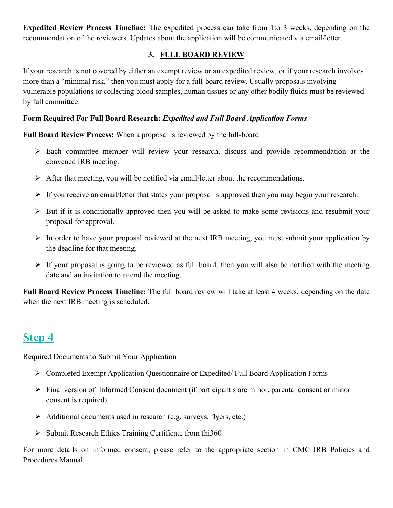**Expedited Review Process Timeline:** The expedited process can take from 1to 3 weeks, depending on the recommendation of the reviewers. Updates about the application will be communicated via email/letter.

## **3. FULL BOARD REVIEW**

If your research is not covered by either an exempt review or an expedited review, or if your research involves more than a "minimal risk," then you must apply for a full-board review. Usually proposals involving vulnerable populations or collecting blood samples, human tissues or any other bodily fluids must be reviewed by full committee.

#### **Form Required For Full Board Research:** *Expedited and Full Board Application Forms*.

**Full Board Review Process:** When a proposal is reviewed by the full-board

- Each committee member will review your research, discuss and provide recommendation at the convened IRB meeting.
- $\triangleright$  After that meeting, you will be notified via email/letter about the recommendations.
- $\triangleright$  If you receive an email/letter that states your proposal is approved then you may begin your research.
- $\triangleright$  But if it is conditionally approved then you will be asked to make some revisions and resubmit your proposal for approval.
- $\triangleright$  In order to have your proposal reviewed at the next IRB meeting, you must submit your application by the deadline for that meeting.
- $\triangleright$  If your proposal is going to be reviewed as full board, then you will also be notified with the meeting date and an invitation to attend the meeting.

**Full Board Review Process Timeline:** The full board review will take at least 4 weeks, depending on the date when the next IRB meeting is scheduled.

# **Step 4**

Required Documents to Submit Your Application

- Completed Exempt Application Questionnaire or Expedited/ Full Board Application Forms
- $\triangleright$  Final version of Informed Consent document (if participant s are minor, parental consent or minor consent is required)
- $\triangleright$  Additional documents used in research (e.g. surveys, flyers, etc.)
- $\triangleright$  Submit Research Ethics Training Certificate from fhi360

For more details on informed consent, please refer to the appropriate section in CMC IRB Policies and Procedures Manual.